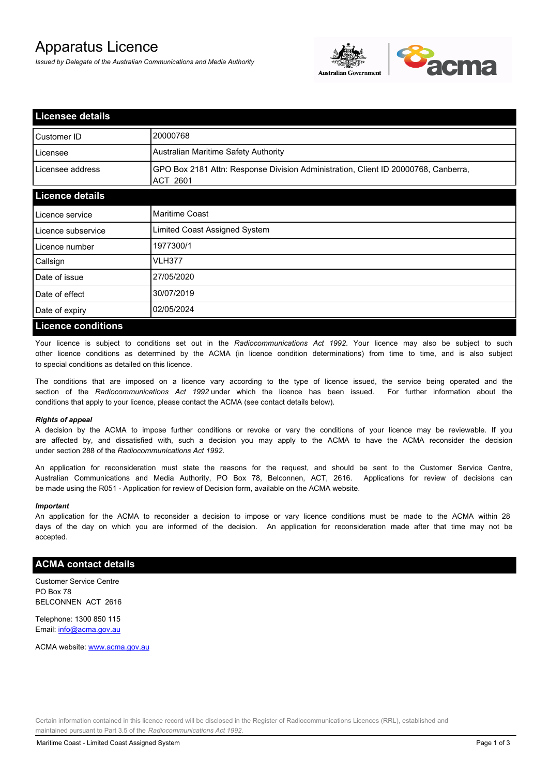# Apparatus Licence

*Issued by Delegate of the Australian Communications and Media Authority*



| <b>Licensee details</b>   |                                                                                                |
|---------------------------|------------------------------------------------------------------------------------------------|
| Customer ID               | 20000768                                                                                       |
| Licensee                  | Australian Maritime Safety Authority                                                           |
| Licensee address          | GPO Box 2181 Attn: Response Division Administration, Client ID 20000768, Canberra,<br>ACT 2601 |
| <b>Licence details</b>    |                                                                                                |
| Licence service           | Maritime Coast                                                                                 |
| Licence subservice        | Limited Coast Assigned System                                                                  |
| Licence number            | 1977300/1                                                                                      |
| Callsign                  | VLH377                                                                                         |
| Date of issue             | 27/05/2020                                                                                     |
| Date of effect            | 30/07/2019                                                                                     |
| Date of expiry            | 02/05/2024                                                                                     |
| <b>Licence conditions</b> |                                                                                                |

Your licence is subject to conditions set out in the *Radiocommunications Act 1992*. Your licence may also be subject to such other licence conditions as determined by the ACMA (in licence condition determinations) from time to time, and is also subject to special conditions as detailed on this licence.

The conditions that are imposed on a licence vary according to the type of licence issued, the service being operated and the section of the *Radiocommunications Act 1992* under which the licence has been issued. For further information about the conditions that apply to your licence, please contact the ACMA (see contact details below).

#### *Rights of appeal*

A decision by the ACMA to impose further conditions or revoke or vary the conditions of your licence may be reviewable. If you are affected by, and dissatisfied with, such a decision you may apply to the ACMA to have the ACMA reconsider the decision under section 288 of the *Radiocommunications Act 1992*.

An application for reconsideration must state the reasons for the request, and should be sent to the Customer Service Centre, Australian Communications and Media Authority, PO Box 78, Belconnen, ACT, 2616. Applications for review of decisions can be made using the R051 - Application for review of Decision form, available on the ACMA website.

#### *Important*

An application for the ACMA to reconsider a decision to impose or vary licence conditions must be made to the ACMA within 28 days of the day on which you are informed of the decision. An application for reconsideration made after that time may not be accepted.

## **ACMA contact details**

Customer Service Centre PO Box 78 BELCONNEN ACT 2616

Telephone: 1300 850 115 Email: info@acma.gov.au

ACMA website: www.acma.gov.au

Certain information contained in this licence record will be disclosed in the Register of Radiocommunications Licences (RRL), established and maintained pursuant to Part 3.5 of the *Radiocommunications Act 1992.*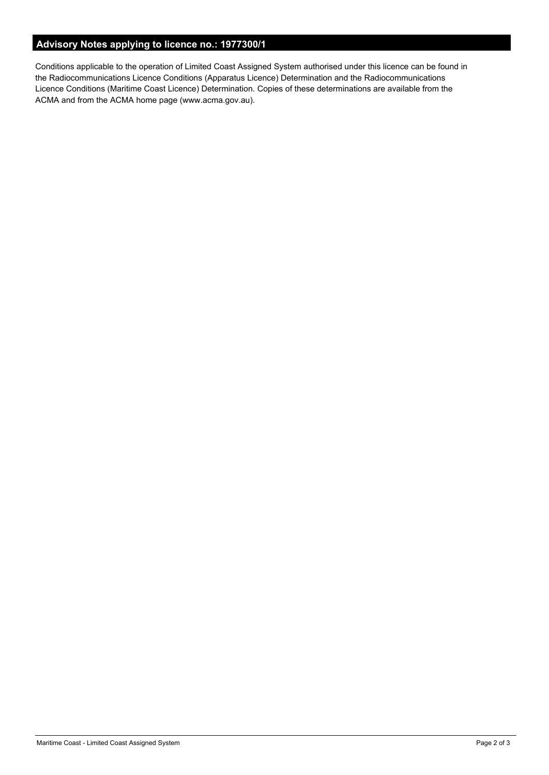# **Advisory Notes applying to licence no.: 1977300/1**

Conditions applicable to the operation of Limited Coast Assigned System authorised under this licence can be found in the Radiocommunications Licence Conditions (Apparatus Licence) Determination and the Radiocommunications Licence Conditions (Maritime Coast Licence) Determination. Copies of these determinations are available from the ACMA and from the ACMA home page (www.acma.gov.au).